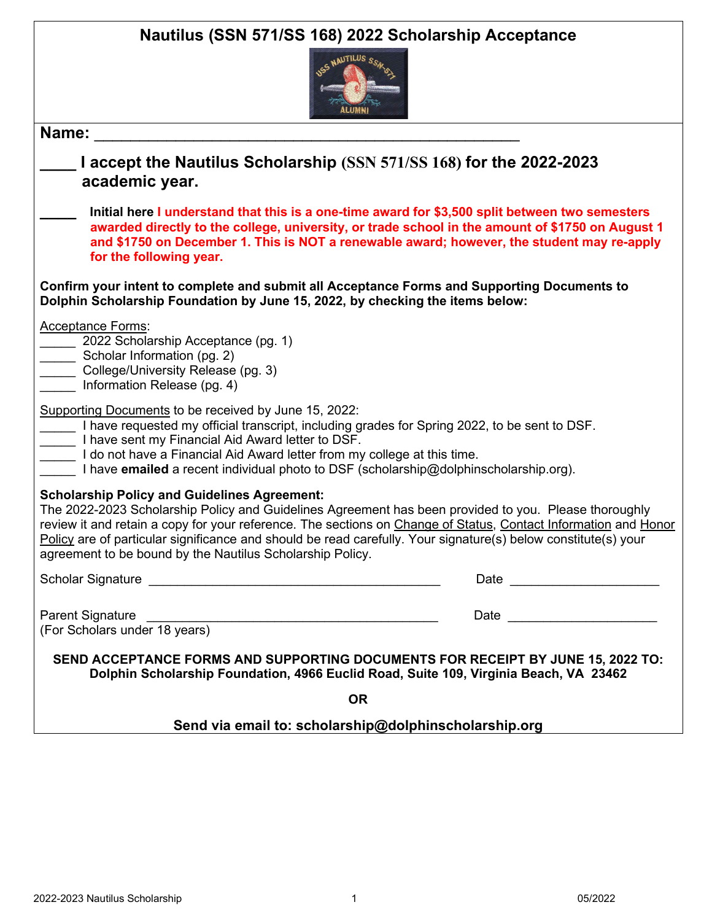| Nautilus (SSN 571/SS 168) 2022 Scholarship Acceptance<br>USS NAUTILUS SC                                                                                                                                                                                                                                                                                                                                                                                       |  |  |
|----------------------------------------------------------------------------------------------------------------------------------------------------------------------------------------------------------------------------------------------------------------------------------------------------------------------------------------------------------------------------------------------------------------------------------------------------------------|--|--|
| Name:                                                                                                                                                                                                                                                                                                                                                                                                                                                          |  |  |
| I accept the Nautilus Scholarship (SSN 571/SS 168) for the 2022-2023<br>academic year.                                                                                                                                                                                                                                                                                                                                                                         |  |  |
| Initial here I understand that this is a one-time award for \$3,500 split between two semesters<br>awarded directly to the college, university, or trade school in the amount of \$1750 on August 1<br>and \$1750 on December 1. This is NOT a renewable award; however, the student may re-apply<br>for the following year.                                                                                                                                   |  |  |
| Confirm your intent to complete and submit all Acceptance Forms and Supporting Documents to<br>Dolphin Scholarship Foundation by June 15, 2022, by checking the items below:                                                                                                                                                                                                                                                                                   |  |  |
| <b>Acceptance Forms:</b><br>2022 Scholarship Acceptance (pg. 1)<br>Scholar Information (pg. 2)<br>College/University Release (pg. 3)<br>Information Release (pg. 4)                                                                                                                                                                                                                                                                                            |  |  |
| Supporting Documents to be received by June 15, 2022:<br>I have requested my official transcript, including grades for Spring 2022, to be sent to DSF.<br>I have sent my Financial Aid Award letter to DSF.<br>I do not have a Financial Aid Award letter from my college at this time.<br>I have emailed a recent individual photo to DSF (scholarship@dolphinscholarship.org).                                                                               |  |  |
| <b>Scholarship Policy and Guidelines Agreement:</b><br>The 2022-2023 Scholarship Policy and Guidelines Agreement has been provided to you. Please thoroughly<br>review it and retain a copy for your reference. The sections on Change of Status, Contact Information and Honor<br>Policy are of particular significance and should be read carefully. Your signature(s) below constitute(s) your<br>agreement to be bound by the Nautilus Scholarship Policy. |  |  |
| Date __________________________                                                                                                                                                                                                                                                                                                                                                                                                                                |  |  |
| <b>Parent Signature</b><br>Date and the contract of the contract of the contract of the contract of the contract of the contract of the contract of the contract of the contract of the contract of the contract of the contract of the contract of the c<br>(For Scholars under 18 years)                                                                                                                                                                     |  |  |
| SEND ACCEPTANCE FORMS AND SUPPORTING DOCUMENTS FOR RECEIPT BY JUNE 15, 2022 TO:<br>Dolphin Scholarship Foundation, 4966 Euclid Road, Suite 109, Virginia Beach, VA 23462                                                                                                                                                                                                                                                                                       |  |  |
| <b>OR</b>                                                                                                                                                                                                                                                                                                                                                                                                                                                      |  |  |
| Send via email to: scholarship@dolphinscholarship.org                                                                                                                                                                                                                                                                                                                                                                                                          |  |  |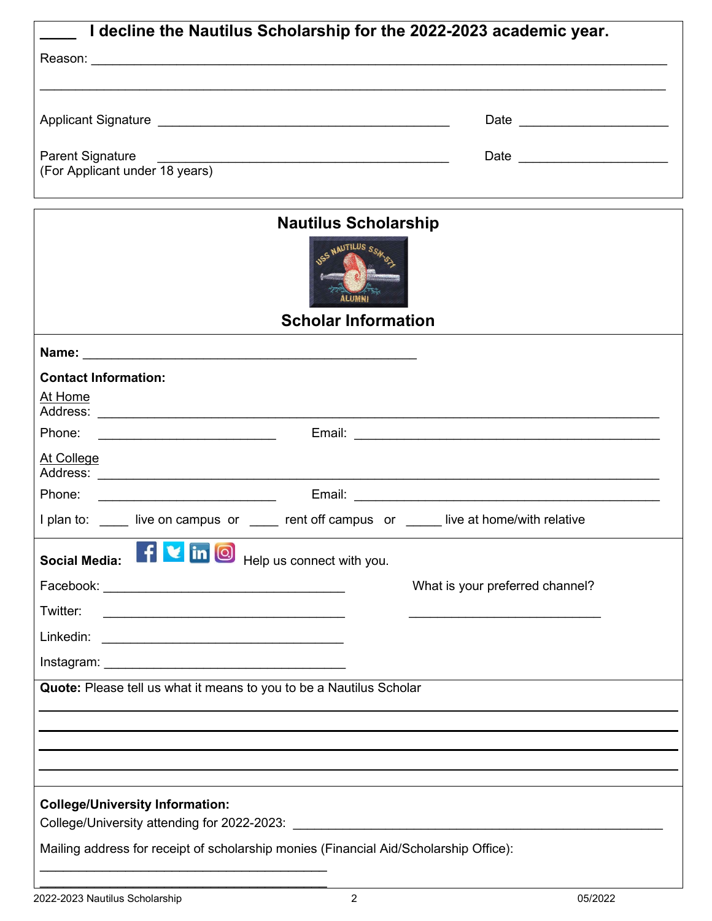| I decline the Nautilus Scholarship for the 2022-2023 academic year.                       |                                 |
|-------------------------------------------------------------------------------------------|---------------------------------|
|                                                                                           |                                 |
|                                                                                           |                                 |
|                                                                                           | Date _________________________  |
| <b>Parent Signature</b>                                                                   | Date _________________________  |
|                                                                                           |                                 |
| <b>Nautilus Scholarship</b><br><b>USS NAUTILUS S</b><br>alumni                            |                                 |
| <b>Scholar Information</b>                                                                |                                 |
|                                                                                           |                                 |
| <b>Contact Information:</b>                                                               |                                 |
| At Home                                                                                   |                                 |
| Phone:                                                                                    |                                 |
| At College                                                                                |                                 |
| Phone:<br><u> 1980 - Johann Barn, fransk politik (d. 1980)</u>                            |                                 |
| I plan to: ____ live on campus or ____ rent off campus or ____ live at home/with relative |                                 |
| f <b>v</b> in <b>O</b> Help us connect with you.<br><b>Social Media:</b>                  |                                 |
|                                                                                           | What is your preferred channel? |
| Twitter:                                                                                  |                                 |
|                                                                                           |                                 |
|                                                                                           |                                 |
| Quote: Please tell us what it means to you to be a Nautilus Scholar                       |                                 |
|                                                                                           |                                 |
|                                                                                           |                                 |
|                                                                                           |                                 |
|                                                                                           |                                 |
| <b>College/University Information:</b>                                                    |                                 |
|                                                                                           |                                 |
| Mailing address for receipt of scholarship monies (Financial Aid/Scholarship Office):     |                                 |
|                                                                                           |                                 |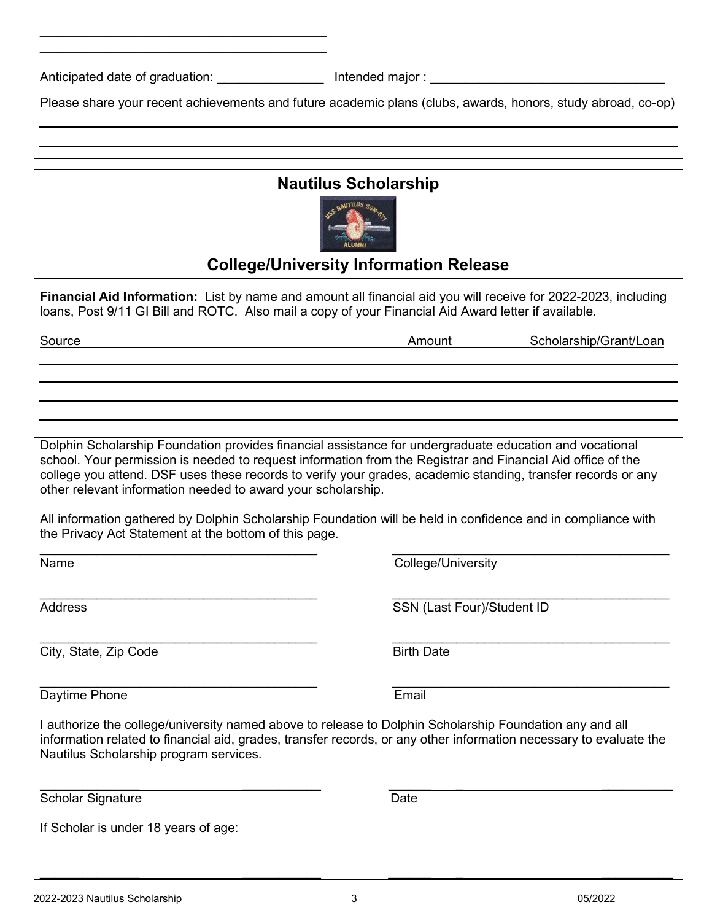| Anticipated date of graduation: ____________________ Intended major: _______________________________                  |                                                                                                                                                                                                                                                                                                                                                                                                                                                        |  |  |
|-----------------------------------------------------------------------------------------------------------------------|--------------------------------------------------------------------------------------------------------------------------------------------------------------------------------------------------------------------------------------------------------------------------------------------------------------------------------------------------------------------------------------------------------------------------------------------------------|--|--|
|                                                                                                                       | Please share your recent achievements and future academic plans (clubs, awards, honors, study abroad, co-op)                                                                                                                                                                                                                                                                                                                                           |  |  |
|                                                                                                                       |                                                                                                                                                                                                                                                                                                                                                                                                                                                        |  |  |
|                                                                                                                       |                                                                                                                                                                                                                                                                                                                                                                                                                                                        |  |  |
| <b>Nautilus Scholarship</b><br><b>College/University Information Release</b>                                          |                                                                                                                                                                                                                                                                                                                                                                                                                                                        |  |  |
| loans, Post 9/11 GI Bill and ROTC. Also mail a copy of your Financial Aid Award letter if available.                  | Financial Aid Information: List by name and amount all financial aid you will receive for 2022-2023, including                                                                                                                                                                                                                                                                                                                                         |  |  |
| Source                                                                                                                | Scholarship/Grant/Loan<br>Amount                                                                                                                                                                                                                                                                                                                                                                                                                       |  |  |
|                                                                                                                       |                                                                                                                                                                                                                                                                                                                                                                                                                                                        |  |  |
|                                                                                                                       |                                                                                                                                                                                                                                                                                                                                                                                                                                                        |  |  |
| other relevant information needed to award your scholarship.<br>the Privacy Act Statement at the bottom of this page. | Dolphin Scholarship Foundation provides financial assistance for undergraduate education and vocational<br>school. Your permission is needed to request information from the Registrar and Financial Aid office of the<br>college you attend. DSF uses these records to verify your grades, academic standing, transfer records or any<br>All information gathered by Dolphin Scholarship Foundation will be held in confidence and in compliance with |  |  |
| Name                                                                                                                  | College/University                                                                                                                                                                                                                                                                                                                                                                                                                                     |  |  |
| <b>Address</b>                                                                                                        | SSN (Last Four)/Student ID                                                                                                                                                                                                                                                                                                                                                                                                                             |  |  |
| City, State, Zip Code                                                                                                 | <b>Birth Date</b>                                                                                                                                                                                                                                                                                                                                                                                                                                      |  |  |
| Daytime Phone                                                                                                         | Email                                                                                                                                                                                                                                                                                                                                                                                                                                                  |  |  |
| Nautilus Scholarship program services.                                                                                | I authorize the college/university named above to release to Dolphin Scholarship Foundation any and all<br>information related to financial aid, grades, transfer records, or any other information necessary to evaluate the                                                                                                                                                                                                                          |  |  |
| <b>Scholar Signature</b>                                                                                              | Date                                                                                                                                                                                                                                                                                                                                                                                                                                                   |  |  |
| If Scholar is under 18 years of age:                                                                                  |                                                                                                                                                                                                                                                                                                                                                                                                                                                        |  |  |

 $\overline{\phantom{a}}$  , and the contract of the contract of the contract of the contract of the contract of the contract of the contract of the contract of the contract of the contract of the contract of the contract of the contrac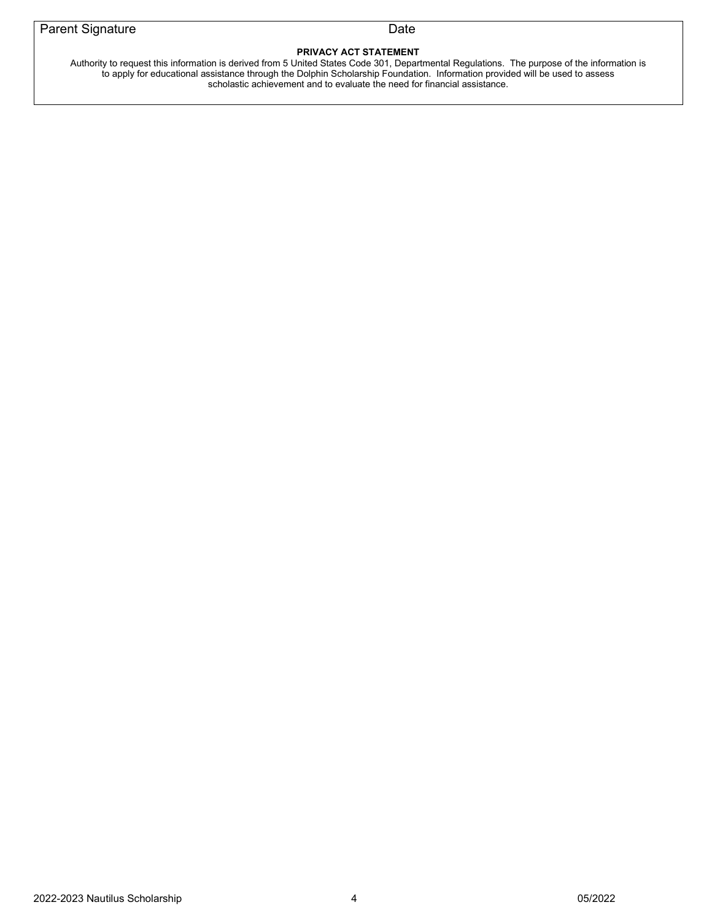## **PRIVACY ACT STATEMENT**

Authority to request this information is derived from 5 United States Code 301, Departmental Regulations. The purpose of the information is to apply for educational assistance through the Dolphin Scholarship Foundation. Information provided will be used to assess scholastic achievement and to evaluate the need for financial assistance.